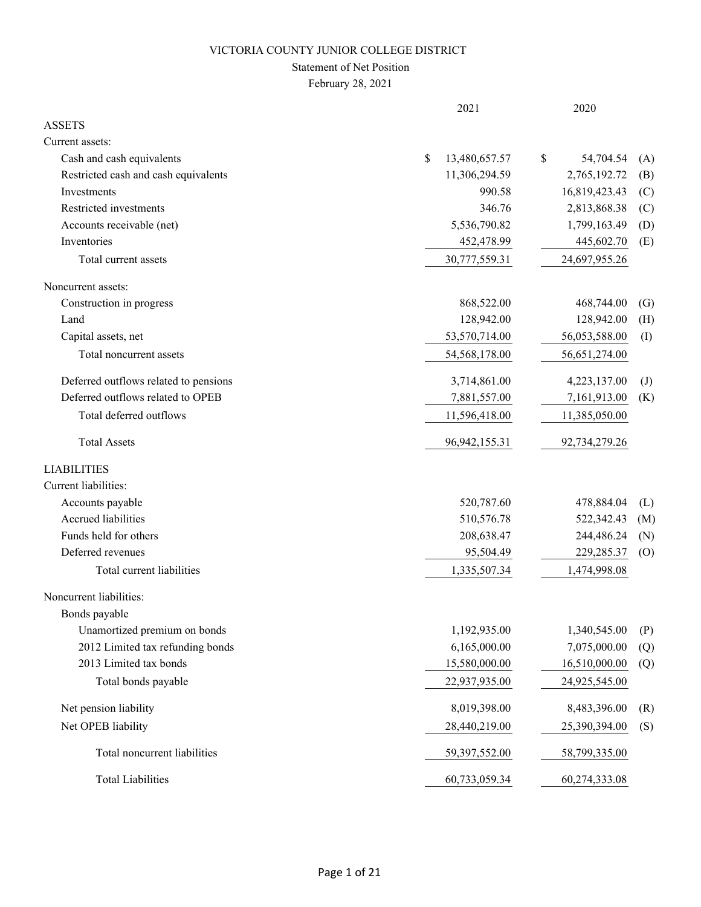### Statement of Net Position

February 28, 2021

|                                       | 2021                | 2020                      |              |
|---------------------------------------|---------------------|---------------------------|--------------|
| <b>ASSETS</b>                         |                     |                           |              |
| Current assets:                       |                     |                           |              |
| Cash and cash equivalents             | \$<br>13,480,657.57 | $\mathbb{S}$<br>54,704.54 | (A)          |
| Restricted cash and cash equivalents  | 11,306,294.59       | 2,765,192.72              | (B)          |
| Investments                           | 990.58              | 16,819,423.43             | (C)          |
| Restricted investments                | 346.76              | 2,813,868.38              | (C)          |
| Accounts receivable (net)             | 5,536,790.82        | 1,799,163.49              | (D)          |
| Inventories                           | 452,478.99          | 445,602.70                | (E)          |
| Total current assets                  | 30,777,559.31       | 24,697,955.26             |              |
| Noncurrent assets:                    |                     |                           |              |
| Construction in progress              | 868,522.00          | 468,744.00                | (G)          |
| Land                                  | 128,942.00          | 128,942.00                | (H)          |
| Capital assets, net                   | 53,570,714.00       | 56,053,588.00             | (I)          |
| Total noncurrent assets               | 54,568,178.00       | 56,651,274.00             |              |
| Deferred outflows related to pensions | 3,714,861.00        | 4,223,137.00              | $\mathrm{J}$ |
| Deferred outflows related to OPEB     | 7,881,557.00        | 7,161,913.00              | (K)          |
| Total deferred outflows               | 11,596,418.00       | 11,385,050.00             |              |
| <b>Total Assets</b>                   | 96, 942, 155. 31    | 92,734,279.26             |              |
| <b>LIABILITIES</b>                    |                     |                           |              |
| Current liabilities:                  |                     |                           |              |
| Accounts payable                      | 520,787.60          | 478,884.04                | (L)          |
| <b>Accrued liabilities</b>            | 510,576.78          | 522,342.43                | (M)          |
| Funds held for others                 | 208,638.47          | 244,486.24                | (N)          |
| Deferred revenues                     | 95,504.49           | 229, 285. 37              | (0)          |
| Total current liabilities             | 1,335,507.34        | 1,474,998.08              |              |
| Noncurrent liabilities:               |                     |                           |              |
| Bonds payable                         |                     |                           |              |
| Unamortized premium on bonds          | 1,192,935.00        | 1,340,545.00              | (P)          |
| 2012 Limited tax refunding bonds      | 6,165,000.00        | 7,075,000.00              | (Q)          |
| 2013 Limited tax bonds                | 15,580,000.00       | 16,510,000.00             | (Q)          |
| Total bonds payable                   | 22,937,935.00       | 24,925,545.00             |              |
| Net pension liability                 | 8,019,398.00        | 8,483,396.00              | (R)          |
| Net OPEB liability                    | 28,440,219.00       | 25,390,394.00             | (S)          |
| Total noncurrent liabilities          | 59,397,552.00       | 58,799,335.00             |              |
| <b>Total Liabilities</b>              | 60,733,059.34       | 60,274,333.08             |              |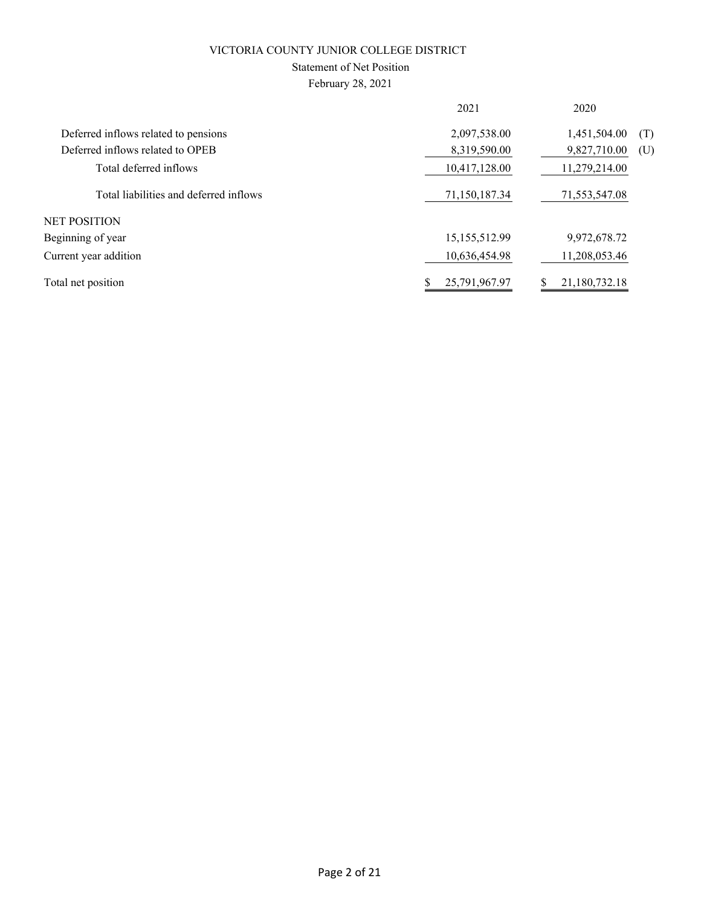### Statement of Net Position

February 28, 2021

|                                        | 2021          | 2020          |     |
|----------------------------------------|---------------|---------------|-----|
| Deferred inflows related to pensions   | 2,097,538.00  | 1,451,504.00  | (T) |
| Deferred inflows related to OPEB       | 8,319,590.00  | 9,827,710.00  | (U) |
| Total deferred inflows                 | 10,417,128.00 | 11,279,214.00 |     |
| Total liabilities and deferred inflows | 71,150,187.34 | 71,553,547.08 |     |
| NET POSITION                           |               |               |     |
| Beginning of year                      | 15,155,512.99 | 9,972,678.72  |     |
| Current year addition                  | 10,636,454.98 | 11,208,053.46 |     |
| Total net position                     | 25,791,967.97 | 21,180,732.18 |     |
|                                        |               |               |     |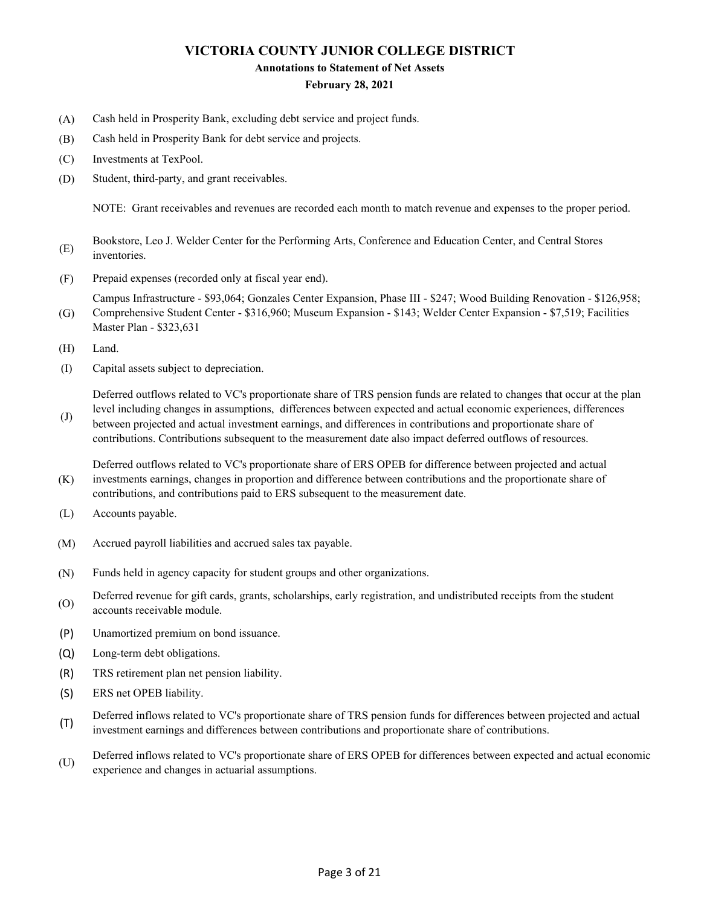#### **Annotations to Statement of Net Assets**

#### **February 28, 2021**

- (A) Cash held in Prosperity Bank, excluding debt service and project funds.
- (B) Cash held in Prosperity Bank for debt service and projects.
- (C) Investments at TexPool.
- (D) Student, third-party, and grant receivables.

NOTE: Grant receivables and revenues are recorded each month to match revenue and expenses to the proper period.

- (E) Bookstore, Leo J. Welder Center for the Performing Arts, Conference and Education Center, and Central Stores inventories.
- (F) Prepaid expenses (recorded only at fiscal year end).

Campus Infrastructure - \$93,064; Gonzales Center Expansion, Phase III - \$247; Wood Building Renovation - \$126,958; Comprehensive Student Center - \$316,960; Museum Expansion - \$143; Welder Center Expansion - \$7,519; Facilities

- (G) Master Plan - \$323,631
- (H) Land.

(J)

(I) Capital assets subject to depreciation.

Deferred outflows related to VC's proportionate share of TRS pension funds are related to changes that occur at the plan level including changes in assumptions, differences between expected and actual economic experiences, differences

between projected and actual investment earnings, and differences in contributions and proportionate share of contributions. Contributions subsequent to the measurement date also impact deferred outflows of resources.

(K) Deferred outflows related to VC's proportionate share of ERS OPEB for difference between projected and actual investments earnings, changes in proportion and difference between contributions and the proportionate share of contributions, and contributions paid to ERS subsequent to the measurement date.

- (L) Accounts payable.
- (M) Accrued payroll liabilities and accrued sales tax payable.
- (N) Funds held in agency capacity for student groups and other organizations.
- (O) Deferred revenue for gift cards, grants, scholarships, early registration, and undistributed receipts from the student accounts receivable module.
- (P) Unamortized premium on bond issuance.
- (Q) Long-term debt obligations.
- (R) TRS retirement plan net pension liability.
- (S) ERS net OPEB liability.
- (T) Deferred inflows related to VC's proportionate share of TRS pension funds for differences between projected and actual investment earnings and differences between contributions and proportionate share of contributions.
- (U) Deferred inflows related to VC's proportionate share of ERS OPEB for differences between expected and actual economic experience and changes in actuarial assumptions.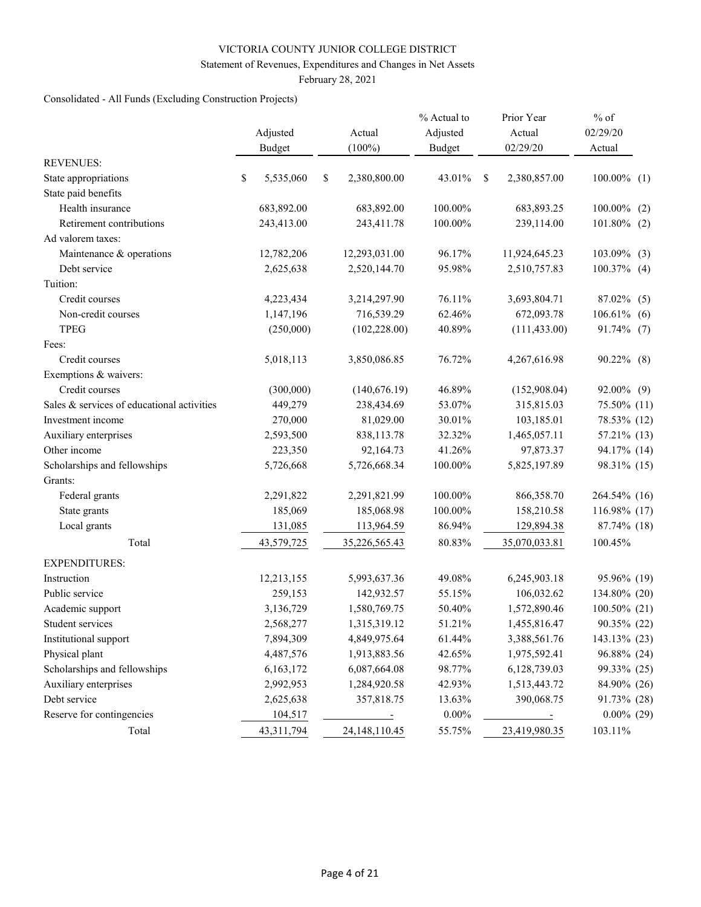#### Statement of Revenues, Expenditures and Changes in Net Assets

February 28, 2021

## Consolidated - All Funds (Excluding Construction Projects)

|                                            | Adjusted<br><b>Budget</b> | Actual<br>$(100\%)$ | % Actual to<br>Adjusted<br><b>Budget</b> |    | Prior Year<br>Actual<br>02/29/20 | $%$ of<br>02/29/20<br>Actual |
|--------------------------------------------|---------------------------|---------------------|------------------------------------------|----|----------------------------------|------------------------------|
| <b>REVENUES:</b>                           |                           |                     |                                          |    |                                  |                              |
| State appropriations                       | \$<br>5,535,060           | \$<br>2,380,800.00  | 43.01%                                   | -S | 2,380,857.00                     | $100.00\%$ (1)               |
| State paid benefits                        |                           |                     |                                          |    |                                  |                              |
| Health insurance                           | 683,892.00                | 683,892.00          | 100.00%                                  |    | 683,893.25                       | 100.00%<br>(2)               |
| Retirement contributions                   | 243,413.00                | 243,411.78          | 100.00%                                  |    | 239,114.00                       | $101.80\%$ (2)               |
| Ad valorem taxes:                          |                           |                     |                                          |    |                                  |                              |
| Maintenance & operations                   | 12,782,206                | 12,293,031.00       | 96.17%                                   |    | 11,924,645.23                    | 103.09% (3)                  |
| Debt service                               | 2,625,638                 | 2,520,144.70        | 95.98%                                   |    | 2,510,757.83                     | $100.37\%$ (4)               |
| Tuition:                                   |                           |                     |                                          |    |                                  |                              |
| Credit courses                             | 4,223,434                 | 3,214,297.90        | 76.11%                                   |    | 3,693,804.71                     | 87.02% (5)                   |
| Non-credit courses                         | 1,147,196                 | 716,539.29          | 62.46%                                   |    | 672,093.78                       | 106.61%<br>(6)               |
| <b>TPEG</b>                                | (250,000)                 | (102, 228.00)       | 40.89%                                   |    | (111, 433.00)                    | 91.74% (7)                   |
| Fees:                                      |                           |                     |                                          |    |                                  |                              |
| Credit courses                             | 5,018,113                 | 3,850,086.85        | 76.72%                                   |    | 4,267,616.98                     | 90.22% (8)                   |
| Exemptions & waivers:                      |                           |                     |                                          |    |                                  |                              |
| Credit courses                             | (300,000)                 | (140,676.19)        | 46.89%                                   |    | (152,908.04)                     | 92.00% (9)                   |
| Sales & services of educational activities | 449,279                   | 238,434.69          | 53.07%                                   |    | 315,815.03                       | 75.50% (11)                  |
| Investment income                          | 270,000                   | 81,029.00           | 30.01%                                   |    | 103,185.01                       | 78.53% (12)                  |
| Auxiliary enterprises                      | 2,593,500                 | 838,113.78          | 32.32%                                   |    | 1,465,057.11                     | 57.21% (13)                  |
| Other income                               | 223,350                   | 92,164.73           | 41.26%                                   |    | 97,873.37                        | 94.17% (14)                  |
| Scholarships and fellowships               | 5,726,668                 | 5,726,668.34        | 100.00%                                  |    | 5,825,197.89                     | 98.31% (15)                  |
| Grants:                                    |                           |                     |                                          |    |                                  |                              |
| Federal grants                             | 2,291,822                 | 2,291,821.99        | 100.00%                                  |    | 866,358.70                       | 264.54% (16)                 |
| State grants                               | 185,069                   | 185,068.98          | 100.00%                                  |    | 158,210.58                       | 116.98% (17)                 |
| Local grants                               | 131,085                   | 113,964.59          | 86.94%                                   |    | 129,894.38                       | 87.74% (18)                  |
| Total                                      | 43,579,725                | 35,226,565.43       | 80.83%                                   |    | 35,070,033.81                    | 100.45%                      |
| <b>EXPENDITURES:</b>                       |                           |                     |                                          |    |                                  |                              |
| Instruction                                | 12,213,155                | 5,993,637.36        | 49.08%                                   |    | 6,245,903.18                     | 95.96% (19)                  |
| Public service                             | 259,153                   | 142,932.57          | 55.15%                                   |    | 106,032.62                       | 134.80% (20)                 |
| Academic support                           | 3,136,729                 | 1,580,769.75        | 50.40%                                   |    | 1,572,890.46                     | 100.50% (21)                 |
| Student services                           | 2,568,277                 | 1,315,319.12        | 51.21%                                   |    | 1,455,816.47                     | 90.35% (22)                  |
| Institutional support                      | 7,894,309                 | 4,849,975.64        | 61.44%                                   |    | 3,388,561.76                     | 143.13% (23)                 |
| Physical plant                             | 4,487,576                 | 1,913,883.56        | 42.65%                                   |    | 1,975,592.41                     | 96.88% (24)                  |
| Scholarships and fellowships               | 6,163,172                 | 6,087,664.08        | 98.77%                                   |    | 6,128,739.03                     | 99.33% (25)                  |
| Auxiliary enterprises                      | 2,992,953                 | 1,284,920.58        | 42.93%                                   |    | 1,513,443.72                     | 84.90% (26)                  |
| Debt service                               | 2,625,638                 | 357,818.75          | 13.63%                                   |    | 390,068.75                       | 91.73% (28)                  |
| Reserve for contingencies                  | 104,517                   | $\equiv$            | $0.00\%$                                 |    |                                  | $0.00\%$ (29)                |
| Total                                      | 43,311,794                | 24,148,110.45       | 55.75%                                   |    | 23,419,980.35                    | 103.11%                      |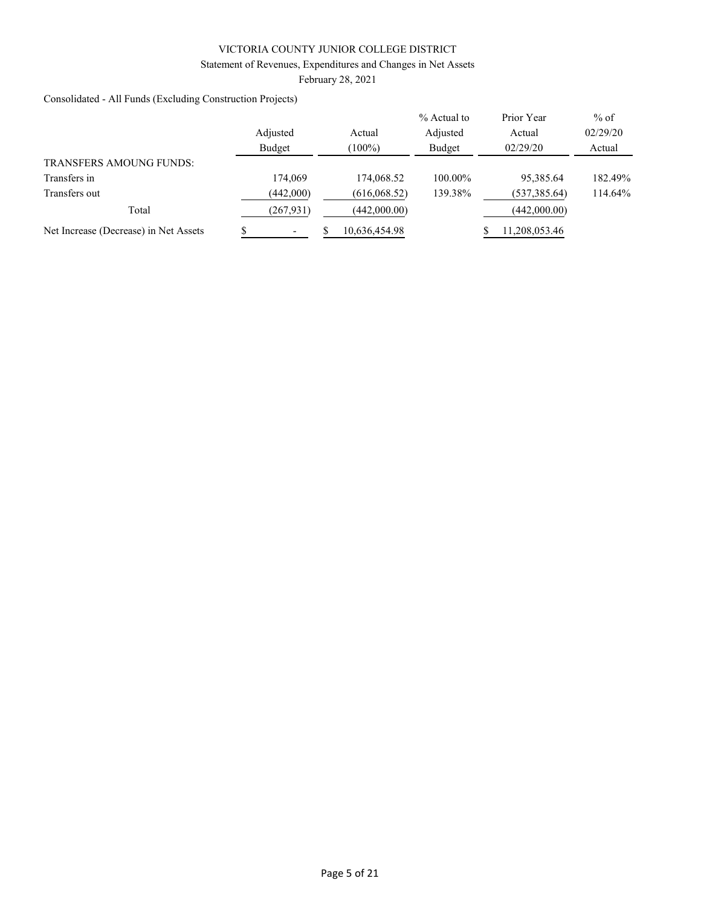#### Statement of Revenues, Expenditures and Changes in Net Assets

February 28, 2021

Consolidated - All Funds (Excluding Construction Projects)

|                                       |            |               | $%$ Actual to | Prior Year   | $%$ of   |
|---------------------------------------|------------|---------------|---------------|--------------|----------|
|                                       | Adjusted   | Actual        | Adjusted      | Actual       | 02/29/20 |
|                                       | Budget     | $(100\%)$     | Budget        | 02/29/20     | Actual   |
| <b>TRANSFERS AMOUNG FUNDS:</b>        |            |               |               |              |          |
| Transfers in                          | 174,069    | 174,068.52    | 100.00%       | 95,385.64    | 182.49%  |
| Transfers out                         | (442,000)  | (616,068.52)  | 139.38%       | (537,385.64) | 114.64%  |
| Total                                 | (267, 931) | (442,000.00)  |               | (442,000.00) |          |
| Net Increase (Decrease) in Net Assets |            | 10,636,454.98 |               | 1,208,053.46 |          |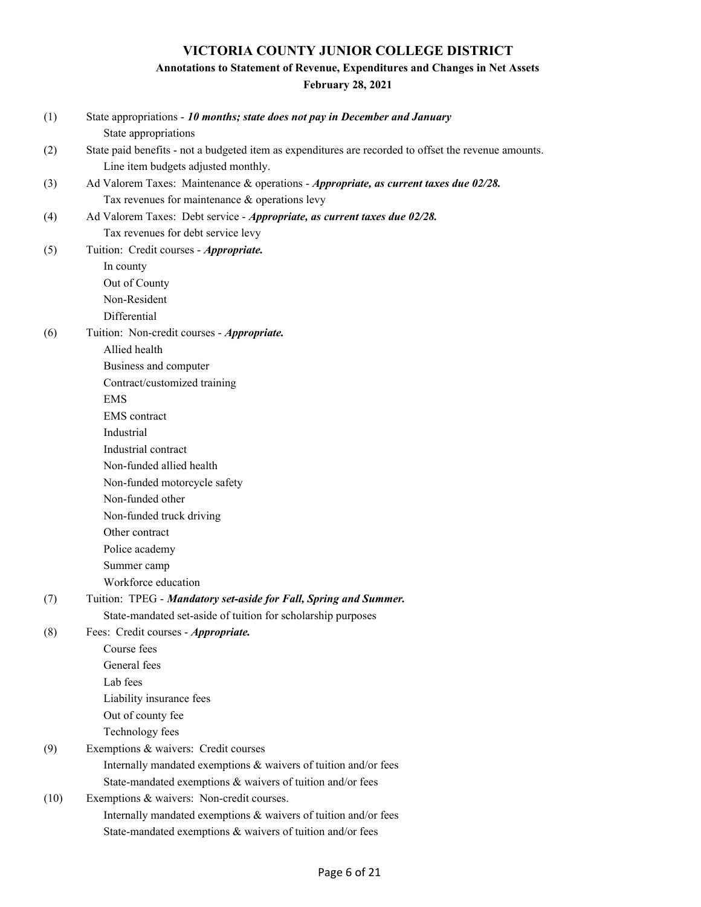## **Annotations to Statement of Revenue, Expenditures and Changes in Net Assets**

**February 28, 2021**

| (1)  | State appropriations - 10 months; state does not pay in December and January                          |
|------|-------------------------------------------------------------------------------------------------------|
|      | State appropriations                                                                                  |
| (2)  | State paid benefits - not a budgeted item as expenditures are recorded to offset the revenue amounts. |
|      | Line item budgets adjusted monthly.                                                                   |
| (3)  | Ad Valorem Taxes: Maintenance & operations - Appropriate, as current taxes due 02/28.                 |
|      | Tax revenues for maintenance & operations levy                                                        |
| (4)  | Ad Valorem Taxes: Debt service - Appropriate, as current taxes due 02/28.                             |
|      | Tax revenues for debt service levy                                                                    |
| (5)  | Tuition: Credit courses - Appropriate.                                                                |
|      | In county                                                                                             |
|      | Out of County                                                                                         |
|      | Non-Resident                                                                                          |
|      | Differential                                                                                          |
| (6)  | Tuition: Non-credit courses - Appropriate.                                                            |
|      | Allied health                                                                                         |
|      | Business and computer                                                                                 |
|      | Contract/customized training                                                                          |
|      | <b>EMS</b>                                                                                            |
|      | <b>EMS</b> contract                                                                                   |
|      | Industrial                                                                                            |
|      | Industrial contract                                                                                   |
|      | Non-funded allied health                                                                              |
|      | Non-funded motorcycle safety                                                                          |
|      | Non-funded other                                                                                      |
|      | Non-funded truck driving                                                                              |
|      | Other contract                                                                                        |
|      | Police academy                                                                                        |
|      | Summer camp                                                                                           |
|      | Workforce education                                                                                   |
| (7)  | Tuition: TPEG - Mandatory set-aside for Fall, Spring and Summer.                                      |
|      | State-mandated set-aside of tuition for scholarship purposes                                          |
| (8)  | Fees: Credit courses - Appropriate.<br>Course fees                                                    |
|      | General fees                                                                                          |
|      | Lab fees                                                                                              |
|      | Liability insurance fees                                                                              |
|      | Out of county fee                                                                                     |
|      | Technology fees                                                                                       |
| (9)  | Exemptions & waivers: Credit courses                                                                  |
|      | Internally mandated exemptions & waivers of tuition and/or fees                                       |
|      | State-mandated exemptions & waivers of tuition and/or fees                                            |
| (10) | Exemptions & waivers: Non-credit courses.                                                             |
|      | Internally mandated exemptions & waivers of tuition and/or fees                                       |
|      | State-mandated exemptions & waivers of tuition and/or fees                                            |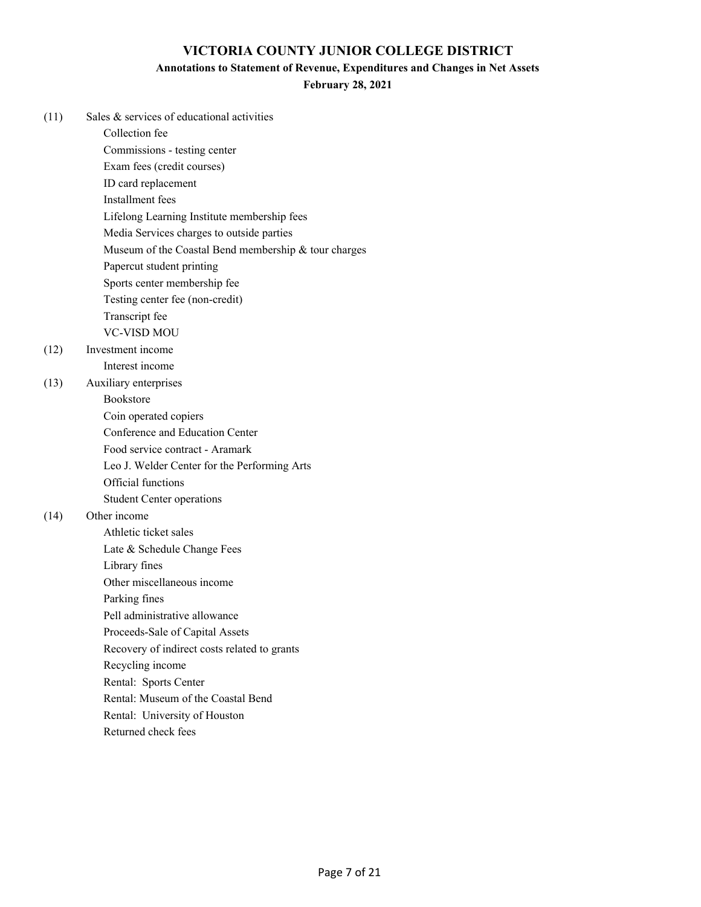#### **Annotations to Statement of Revenue, Expenditures and Changes in Net Assets**

**February 28, 2021**

| (11) | Sales & services of educational activities           |
|------|------------------------------------------------------|
|      | Collection fee                                       |
|      | Commissions - testing center                         |
|      | Exam fees (credit courses)                           |
|      | ID card replacement                                  |
|      | Installment fees                                     |
|      | Lifelong Learning Institute membership fees          |
|      | Media Services charges to outside parties            |
|      | Museum of the Coastal Bend membership & tour charges |
|      | Papercut student printing                            |
|      | Sports center membership fee                         |
|      | Testing center fee (non-credit)                      |
|      | Transcript fee                                       |
|      | VC-VISD MOU                                          |
| (12) | Investment income                                    |
|      | Interest income                                      |
| (13) | Auxiliary enterprises                                |
|      | Bookstore                                            |
|      | Coin operated copiers                                |
|      | Conference and Education Center                      |
|      | Food service contract - Aramark                      |
|      | Leo J. Welder Center for the Performing Arts         |
|      | Official functions                                   |
|      | <b>Student Center operations</b>                     |
| (14) | Other income                                         |
|      | Athletic ticket sales                                |
|      | Late & Schedule Change Fees                          |
|      | Library fines                                        |
|      | Other miscellaneous income                           |
|      | Parking fines                                        |
|      | Pell administrative allowance                        |
|      | Proceeds-Sale of Capital Assets                      |
|      | Recovery of indirect costs related to grants         |
|      | Recycling income                                     |
|      | Rental: Sports Center                                |
|      | Rental: Museum of the Coastal Bend                   |
|      | Rental: University of Houston                        |

Returned check fees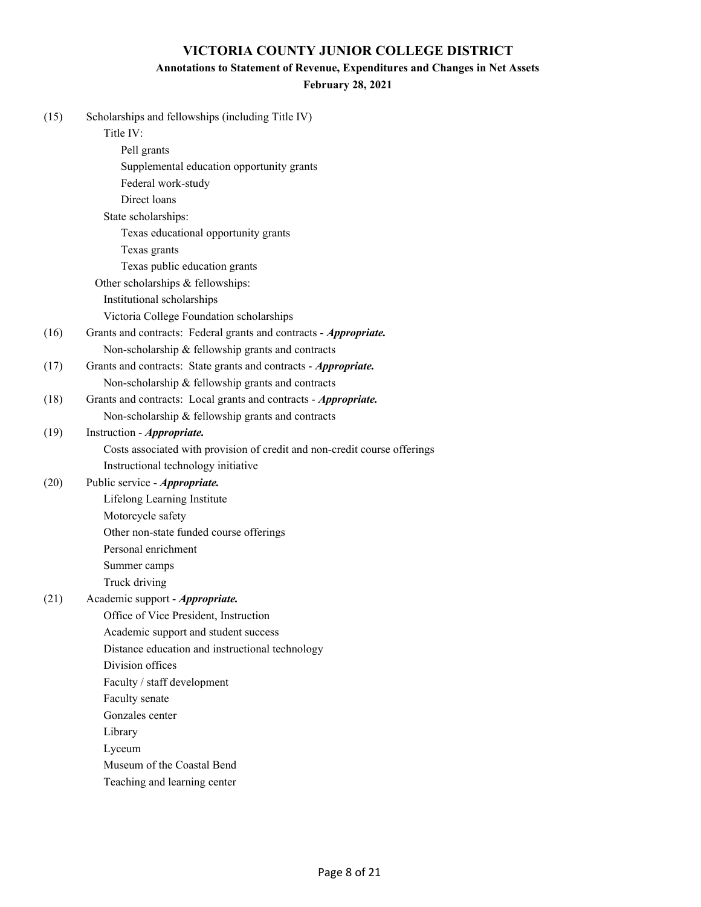#### **Annotations to Statement of Revenue, Expenditures and Changes in Net Assets**

## **February 28, 2021**

| (15) | Scholarships and fellowships (including Title IV)                         |
|------|---------------------------------------------------------------------------|
|      | Title IV:                                                                 |
|      | Pell grants                                                               |
|      | Supplemental education opportunity grants                                 |
|      | Federal work-study                                                        |
|      | Direct loans                                                              |
|      | State scholarships:                                                       |
|      | Texas educational opportunity grants                                      |
|      | Texas grants                                                              |
|      | Texas public education grants                                             |
|      | Other scholarships & fellowships:                                         |
|      | Institutional scholarships                                                |
|      | Victoria College Foundation scholarships                                  |
| (16) | Grants and contracts: Federal grants and contracts - Appropriate.         |
|      | Non-scholarship & fellowship grants and contracts                         |
| (17) | Grants and contracts: State grants and contracts - <i>Appropriate</i> .   |
|      | Non-scholarship & fellowship grants and contracts                         |
| (18) | Grants and contracts: Local grants and contracts - Appropriate.           |
|      | Non-scholarship & fellowship grants and contracts                         |
| (19) | Instruction - Appropriate.                                                |
|      | Costs associated with provision of credit and non-credit course offerings |
|      | Instructional technology initiative                                       |
| (20) | Public service - <i>Appropriate</i> .                                     |
|      | Lifelong Learning Institute                                               |
|      | Motorcycle safety                                                         |
|      | Other non-state funded course offerings                                   |
|      | Personal enrichment                                                       |
|      | Summer camps                                                              |
|      | Truck driving                                                             |
| (21) | Academic support - Appropriate.                                           |
|      | Office of Vice President, Instruction                                     |
|      | Academic support and student success                                      |
|      | Distance education and instructional technology                           |
|      | Division offices                                                          |
|      | Faculty / staff development                                               |
|      | Faculty senate                                                            |
|      | Gonzales center                                                           |
|      | Library                                                                   |
|      | Lyceum                                                                    |
|      | Museum of the Coastal Bend                                                |
|      | Teaching and learning center                                              |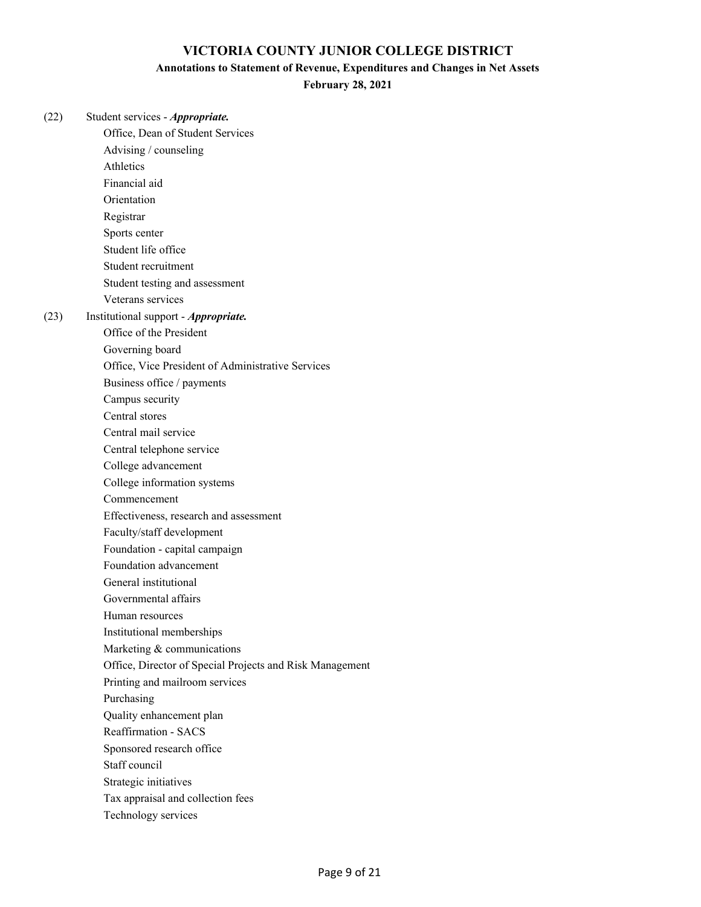#### **Annotations to Statement of Revenue, Expenditures and Changes in Net Assets**

**February 28, 2021**

(22) Student services - *Appropriate.* Office, Dean of Student Services Advising / counseling Athletics Financial aid Orientation Registrar Sports center Student life office Student recruitment Student testing and assessment Veterans services (23) Institutional support - *Appropriate.* Office of the President Governing board Office, Vice President of Administrative Services Business office / payments Campus security Central stores Central mail service Central telephone service College advancement College information systems Commencement Effectiveness, research and assessment Faculty/staff development Foundation - capital campaign Foundation advancement General institutional Governmental affairs Human resources Institutional memberships Marketing & communications Office, Director of Special Projects and Risk Management Printing and mailroom services Purchasing Quality enhancement plan Reaffirmation - SACS Sponsored research office Staff council Strategic initiatives Tax appraisal and collection fees Technology services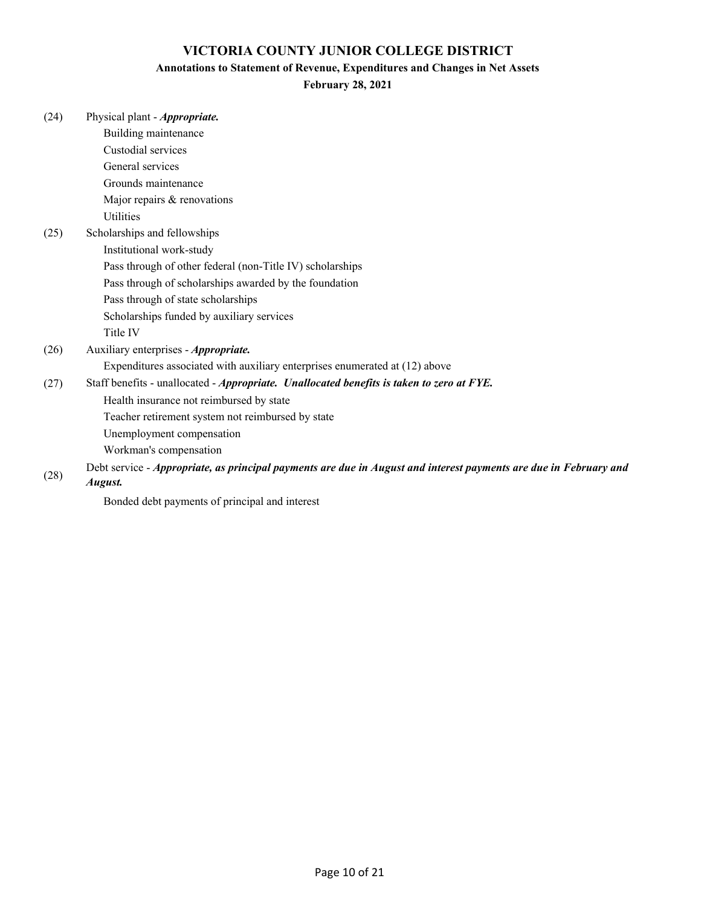#### **Annotations to Statement of Revenue, Expenditures and Changes in Net Assets**

# **February 28, 2021**

|      | <b>February 28, 2021</b>                                                                                          |
|------|-------------------------------------------------------------------------------------------------------------------|
| (24) | Physical plant - Appropriate.                                                                                     |
|      | Building maintenance                                                                                              |
|      | Custodial services                                                                                                |
|      | General services                                                                                                  |
|      | Grounds maintenance                                                                                               |
|      | Major repairs & renovations                                                                                       |
|      | <b>Utilities</b>                                                                                                  |
| (25) | Scholarships and fellowships                                                                                      |
|      | Institutional work-study                                                                                          |
|      | Pass through of other federal (non-Title IV) scholarships                                                         |
|      | Pass through of scholarships awarded by the foundation                                                            |
|      | Pass through of state scholarships                                                                                |
|      | Scholarships funded by auxiliary services                                                                         |
|      | Title IV                                                                                                          |
| (26) | Auxiliary enterprises - Appropriate.                                                                              |
|      | Expenditures associated with auxiliary enterprises enumerated at (12) above                                       |
| (27) | Staff benefits - unallocated - Appropriate. Unallocated benefits is taken to zero at FYE.                         |
|      | Health insurance not reimbursed by state                                                                          |
|      | Teacher retirement system not reimbursed by state                                                                 |
|      | Unemployment compensation                                                                                         |
|      | Workman's compensation                                                                                            |
| (28) | Debt service - Appropriate, as principal payments are due in August and interest payments are due in February and |
|      |                                                                                                                   |

(28)

*August.*

Bonded debt payments of principal and interest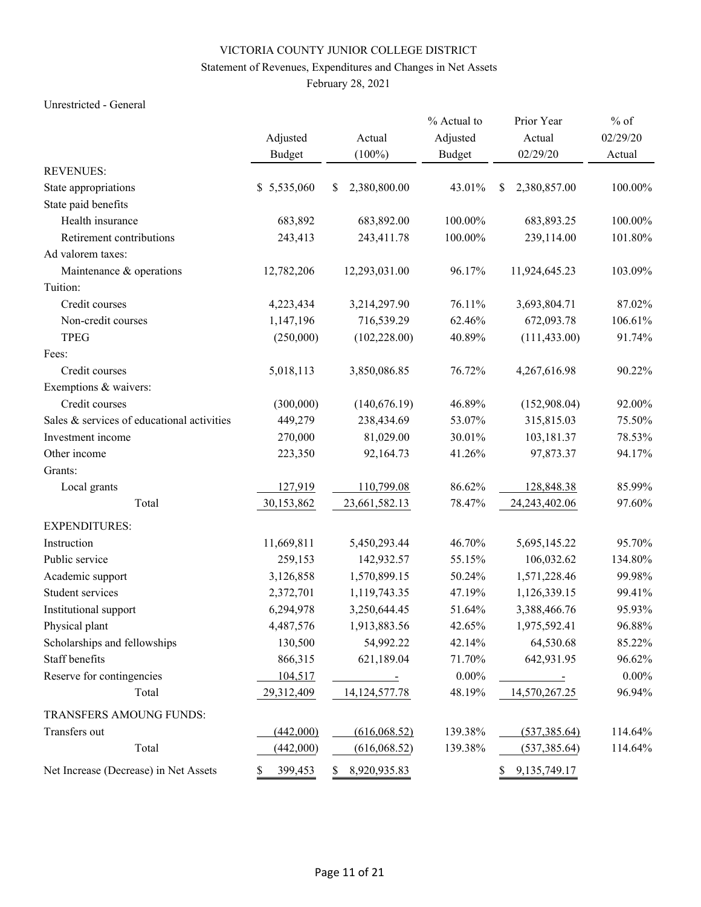## Statement of Revenues, Expenditures and Changes in Net Assets

February 28, 2021

#### Unrestricted - General

|                                            |               |                       | % Actual to   | Prior Year              | $%$ of   |
|--------------------------------------------|---------------|-----------------------|---------------|-------------------------|----------|
|                                            | Adjusted      | Actual                | Adjusted      | Actual                  | 02/29/20 |
|                                            | <b>Budget</b> | $(100\%)$             | <b>Budget</b> | 02/29/20                | Actual   |
| <b>REVENUES:</b>                           |               |                       |               |                         |          |
| State appropriations                       | \$5,535,060   | 2,380,800.00<br>\$    | 43.01%        | \$<br>2,380,857.00      | 100.00%  |
| State paid benefits                        |               |                       |               |                         |          |
| Health insurance                           | 683,892       | 683,892.00            | 100.00%       | 683,893.25              | 100.00%  |
| Retirement contributions                   | 243,413       | 243,411.78            | 100.00%       | 239,114.00              | 101.80%  |
| Ad valorem taxes:                          |               |                       |               |                         |          |
| Maintenance & operations                   | 12,782,206    | 12,293,031.00         | 96.17%        | 11,924,645.23           | 103.09%  |
| Tuition:                                   |               |                       |               |                         |          |
| Credit courses                             | 4,223,434     | 3,214,297.90          | 76.11%        | 3,693,804.71            | 87.02%   |
| Non-credit courses                         | 1,147,196     | 716,539.29            | 62.46%        | 672,093.78              | 106.61%  |
| <b>TPEG</b>                                | (250,000)     | (102, 228.00)         | 40.89%        | (111, 433.00)           | 91.74%   |
| Fees:                                      |               |                       |               |                         |          |
| Credit courses                             | 5,018,113     | 3,850,086.85          | 76.72%        | 4,267,616.98            | 90.22%   |
| Exemptions & waivers:                      |               |                       |               |                         |          |
| Credit courses                             | (300,000)     | (140, 676.19)         | 46.89%        | (152,908.04)            | 92.00%   |
| Sales & services of educational activities | 449,279       | 238,434.69            | 53.07%        | 315,815.03              | 75.50%   |
| Investment income                          | 270,000       | 81,029.00             | 30.01%        | 103,181.37              | 78.53%   |
| Other income                               | 223,350       | 92,164.73             | 41.26%        | 97,873.37               | 94.17%   |
| Grants:                                    |               |                       |               |                         |          |
| Local grants                               | 127,919       | 110,799.08            | 86.62%        | 128,848.38              | 85.99%   |
| Total                                      | 30,153,862    | 23,661,582.13         | 78.47%        | 24, 243, 402. 06        | 97.60%   |
| <b>EXPENDITURES:</b>                       |               |                       |               |                         |          |
| Instruction                                | 11,669,811    | 5,450,293.44          | 46.70%        | 5,695,145.22            | 95.70%   |
| Public service                             | 259,153       | 142,932.57            | 55.15%        | 106,032.62              | 134.80%  |
| Academic support                           | 3,126,858     | 1,570,899.15          | 50.24%        | 1,571,228.46            | 99.98%   |
| Student services                           | 2,372,701     | 1,119,743.35          | 47.19%        | 1,126,339.15            | 99.41%   |
| Institutional support                      | 6,294,978     | 3,250,644.45          | 51.64%        | 3,388,466.76            | 95.93%   |
| Physical plant                             | 4,487,576     | 1,913,883.56          | 42.65%        | 1,975,592.41            | 96.88%   |
| Scholarships and fellowships               | 130,500       | 54,992.22             | 42.14%        | 64,530.68               | 85.22%   |
| Staff benefits                             | 866,315       | 621,189.04            | 71.70%        | 642,931.95              | 96.62%   |
| Reserve for contingencies                  | 104,517       | $\sim 1000$ m $^{-1}$ | $0.00\%$      | $\sim 100$ km s $^{-1}$ | $0.00\%$ |
| Total                                      | 29,312,409    | 14, 124, 577. 78      | 48.19%        | 14,570,267.25           | 96.94%   |
| TRANSFERS AMOUNG FUNDS:                    |               |                       |               |                         |          |
| Transfers out                              | (442,000)     | (616,068.52)          | 139.38%       | (537, 385.64)           | 114.64%  |
| Total                                      | (442,000)     | (616,068.52)          | 139.38%       | (537, 385.64)           | 114.64%  |
| Net Increase (Decrease) in Net Assets      | 399,453       | 8,920,935.83<br>\$    |               | 9, 135, 749. 17<br>S.   |          |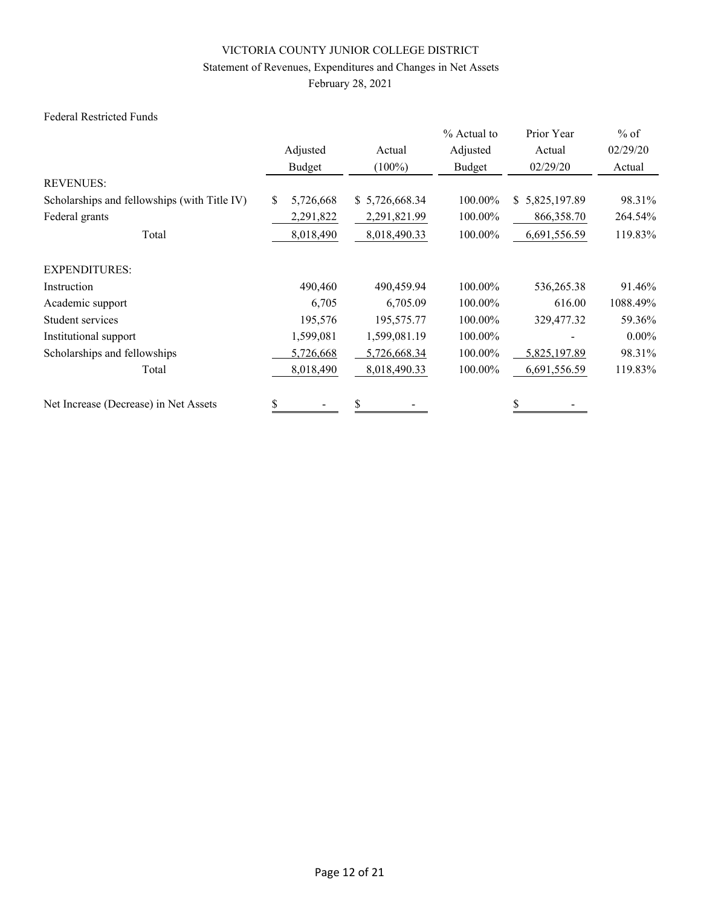## Statement of Revenues, Expenditures and Changes in Net Assets

February 28, 2021

#### Federal Restricted Funds

|                                              |                  |                | % Actual to | Prior Year                    | $%$ of   |
|----------------------------------------------|------------------|----------------|-------------|-------------------------------|----------|
|                                              | Adjusted         | Actual         | Adjusted    | Actual                        | 02/29/20 |
|                                              | Budget           | $(100\%)$      | Budget      | 02/29/20                      | Actual   |
| <b>REVENUES:</b>                             |                  |                |             |                               |          |
| Scholarships and fellowships (with Title IV) | 5,726,668<br>\$. | \$5,726,668.34 | 100.00%     | 5,825,197.89<br><sup>\$</sup> | 98.31%   |
| Federal grants                               | 2,291,822        | 2,291,821.99   | 100.00%     | 866,358.70                    | 264.54%  |
| Total                                        | 8,018,490        | 8,018,490.33   | 100.00%     | 6,691,556.59                  | 119.83%  |
| <b>EXPENDITURES:</b>                         |                  |                |             |                               |          |
| Instruction                                  | 490,460          | 490,459.94     | 100.00%     | 536,265.38                    | 91.46%   |
| Academic support                             | 6,705            | 6,705.09       | 100.00%     | 616.00                        | 1088.49% |
| Student services                             | 195,576          | 195,575.77     | 100.00%     | 329,477.32                    | 59.36%   |
| Institutional support                        | 1,599,081        | 1,599,081.19   | 100.00%     |                               | $0.00\%$ |
| Scholarships and fellowships                 | 5,726,668        | 5,726,668.34   | 100.00%     | 5,825,197.89                  | 98.31%   |
| Total                                        | 8,018,490        | 8,018,490.33   | 100.00%     | 6,691,556.59                  | 119.83%  |
| Net Increase (Decrease) in Net Assets        | \$               | \$             |             |                               |          |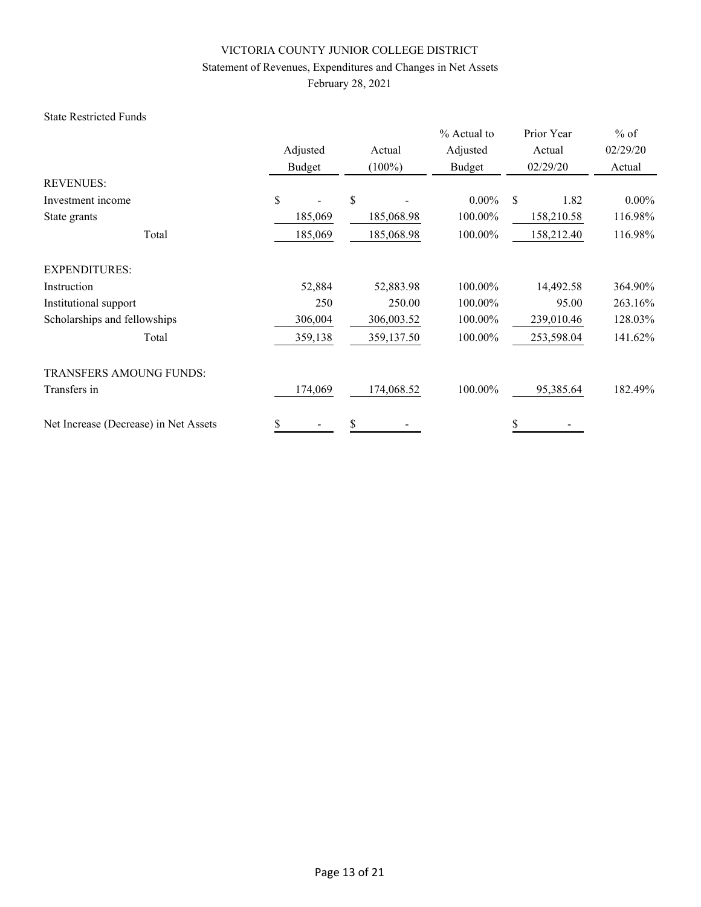# Statement of Revenues, Expenditures and Changes in Net Assets

February 28, 2021

#### State Restricted Funds

|                                       |                           |                     | % Actual to        | Prior Year         | $%$ of             |
|---------------------------------------|---------------------------|---------------------|--------------------|--------------------|--------------------|
|                                       | Adjusted<br><b>Budget</b> | Actual<br>$(100\%)$ | Adjusted<br>Budget | Actual<br>02/29/20 | 02/29/20<br>Actual |
| <b>REVENUES:</b>                      |                           |                     |                    |                    |                    |
| Investment income                     | \$                        | \$                  | $0.00\%$           | \$<br>1.82         | $0.00\%$           |
| State grants                          | 185,069                   | 185,068.98          | 100.00%            | 158,210.58         | 116.98%            |
| Total                                 | 185,069                   | 185,068.98          | 100.00%            | 158,212.40         | 116.98%            |
| <b>EXPENDITURES:</b>                  |                           |                     |                    |                    |                    |
| Instruction                           | 52,884                    | 52,883.98           | 100.00%            | 14,492.58          | 364.90%            |
| Institutional support                 | 250                       | 250.00              | 100.00%            | 95.00              | 263.16%            |
| Scholarships and fellowships          | 306,004                   | 306,003.52          | 100.00%            | 239,010.46         | 128.03%            |
| Total                                 | 359,138                   | 359,137.50          | 100.00%            | 253,598.04         | 141.62%            |
| <b>TRANSFERS AMOUNG FUNDS:</b>        |                           |                     |                    |                    |                    |
| Transfers in                          | 174,069                   | 174,068.52          | 100.00%            | 95,385.64          | 182.49%            |
| Net Increase (Decrease) in Net Assets | \$                        | \$                  |                    | \$                 |                    |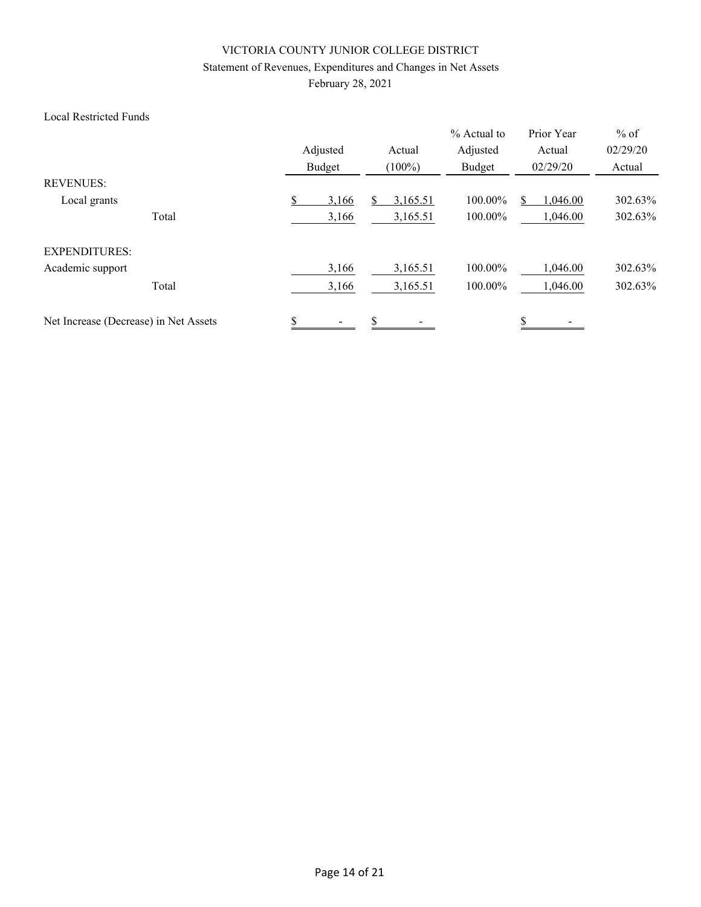## Statement of Revenues, Expenditures and Changes in Net Assets

February 28, 2021

#### Local Restricted Funds

|                                       | Adjusted<br>Budget | Actual<br>$(100\%)$ | % Actual to<br>Adjusted<br>Budget | Prior Year<br>Actual<br>02/29/20 | $%$ of<br>02/29/20<br>Actual |
|---------------------------------------|--------------------|---------------------|-----------------------------------|----------------------------------|------------------------------|
| <b>REVENUES:</b>                      |                    |                     |                                   |                                  |                              |
| Local grants                          | S<br>3,166         | 3,165.51            | 100.00%                           | 1,046.00                         | 302.63%                      |
| Total                                 | 3,166              | 3,165.51            | 100.00%                           | 1,046.00                         | 302.63%                      |
| <b>EXPENDITURES:</b>                  |                    |                     |                                   |                                  |                              |
| Academic support                      | 3,166              | 3,165.51            | 100.00%                           | 1,046.00                         | 302.63%                      |
| Total                                 | 3,166              | 3,165.51            | 100.00%                           | 1,046.00                         | 302.63%                      |
| Net Increase (Decrease) in Net Assets | \$                 | \$                  |                                   | \$                               |                              |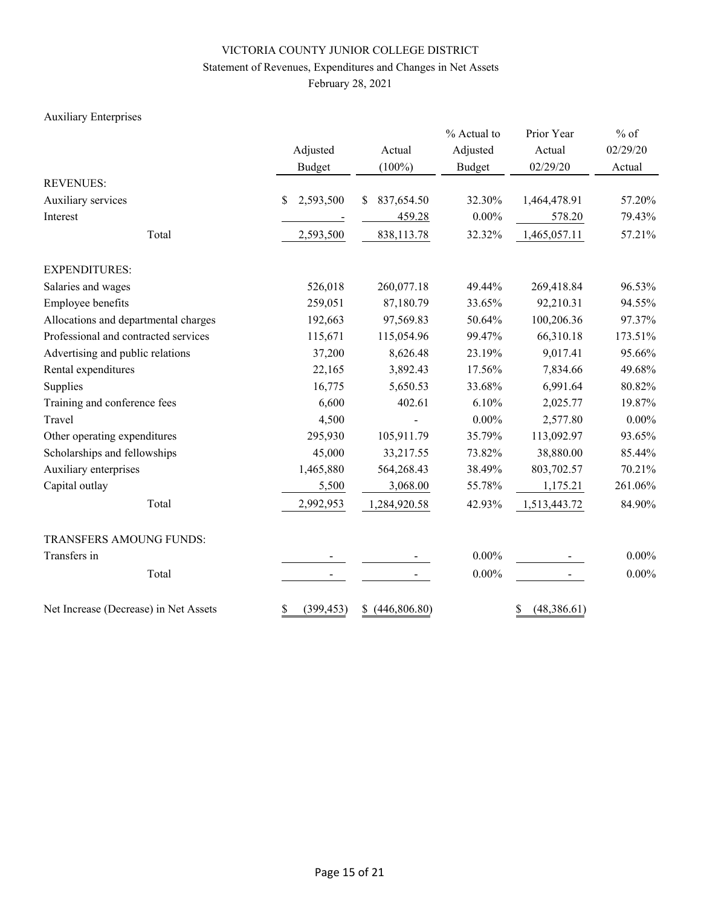## Statement of Revenues, Expenditures and Changes in Net Assets

February 28, 2021

## Auxiliary Enterprises

|                                       |                  |                  | % Actual to   | Prior Year        | $%$ of   |  |
|---------------------------------------|------------------|------------------|---------------|-------------------|----------|--|
|                                       | Adjusted         | Actual           | Adjusted      | Actual            | 02/29/20 |  |
|                                       | Budget           | $(100\%)$        | <b>Budget</b> | 02/29/20          | Actual   |  |
| <b>REVENUES:</b>                      |                  |                  |               |                   |          |  |
| Auxiliary services                    | 2,593,500<br>\$  | 837,654.50<br>\$ | 32.30%        | 1,464,478.91      | 57.20%   |  |
| Interest                              |                  | 459.28           | $0.00\%$      | 578.20            | 79.43%   |  |
| Total                                 | 2,593,500        | 838,113.78       | 32.32%        | 1,465,057.11      | 57.21%   |  |
| <b>EXPENDITURES:</b>                  |                  |                  |               |                   |          |  |
| Salaries and wages                    | 526,018          | 260,077.18       | 49.44%        | 269,418.84        | 96.53%   |  |
| Employee benefits                     | 259,051          | 87,180.79        | 33.65%        | 92,210.31         | 94.55%   |  |
| Allocations and departmental charges  | 192,663          | 97,569.83        | 50.64%        | 100,206.36        | 97.37%   |  |
| Professional and contracted services  | 115,671          | 115,054.96       | 99.47%        | 66,310.18         | 173.51%  |  |
| Advertising and public relations      | 37,200           | 8,626.48         | 23.19%        | 9,017.41          | 95.66%   |  |
| Rental expenditures                   | 22,165           | 3,892.43         | 17.56%        | 7,834.66          | 49.68%   |  |
| Supplies                              | 16,775           | 5,650.53         | 33.68%        | 6,991.64          | 80.82%   |  |
| Training and conference fees          | 6,600            | 402.61           | 6.10%         | 2,025.77          | 19.87%   |  |
| Travel                                | 4,500            |                  | $0.00\%$      | 2,577.80          | $0.00\%$ |  |
| Other operating expenditures          | 295,930          | 105,911.79       | 35.79%        | 113,092.97        | 93.65%   |  |
| Scholarships and fellowships          | 45,000           | 33,217.55        | 73.82%        | 38,880.00         | 85.44%   |  |
| Auxiliary enterprises                 | 1,465,880        | 564,268.43       | 38.49%        | 803,702.57        | 70.21%   |  |
| Capital outlay                        | 5,500            | 3,068.00         | 55.78%        | 1,175.21          | 261.06%  |  |
| Total                                 | 2,992,953        | 1,284,920.58     | 42.93%        | 1,513,443.72      | 84.90%   |  |
| TRANSFERS AMOUNG FUNDS:               |                  |                  |               |                   |          |  |
| Transfers in                          |                  |                  | $0.00\%$      |                   | $0.00\%$ |  |
| Total                                 |                  |                  | $0.00\%$      |                   | $0.00\%$ |  |
| Net Increase (Decrease) in Net Assets | \$<br>(399, 453) | \$ (446,806.80)  |               | \$<br>(48,386.61) |          |  |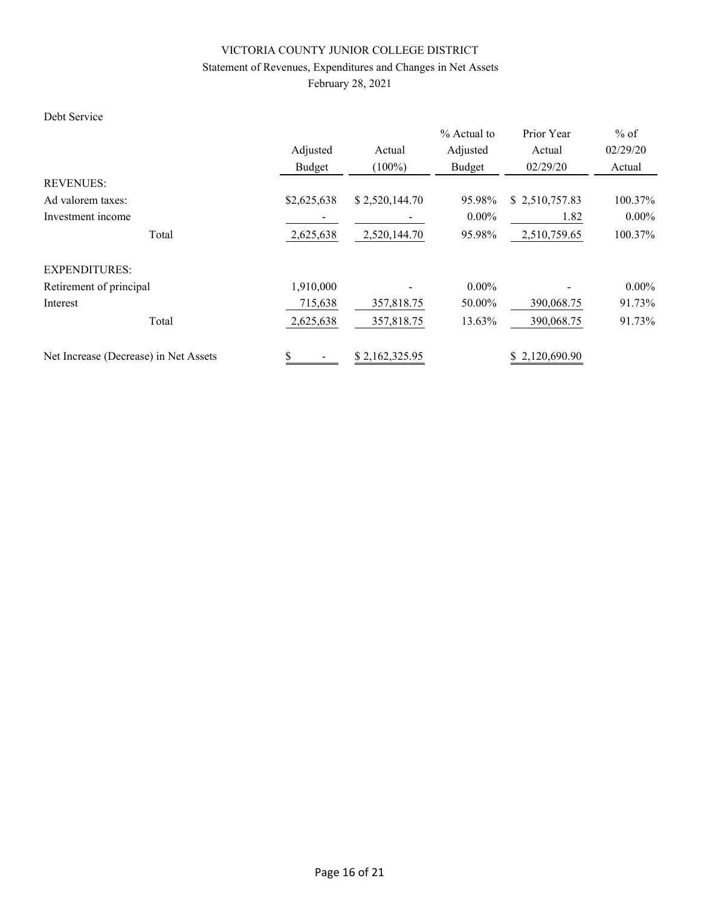## Statement of Revenues, Expenditures and Changes in Net Assets

February 28, 2021

## Debt Service

|                                       |             |                | % Actual to | Prior Year     | $%$ of   |
|---------------------------------------|-------------|----------------|-------------|----------------|----------|
|                                       | Adjusted    | Actual         | Adjusted    | Actual         | 02/29/20 |
|                                       | Budget      | $(100\%)$      | Budget      | 02/29/20       | Actual   |
| <b>REVENUES:</b>                      |             |                |             |                |          |
| Ad valorem taxes:                     | \$2,625,638 | \$2,520,144.70 | 95.98%      | \$2,510,757.83 | 100.37%  |
| Investment income                     |             |                | $0.00\%$    | 1.82           | $0.00\%$ |
| Total                                 | 2,625,638   | 2,520,144.70   | 95.98%      | 2,510,759.65   | 100.37%  |
| <b>EXPENDITURES:</b>                  |             |                |             |                |          |
| Retirement of principal               | 1,910,000   |                | $0.00\%$    |                | $0.00\%$ |
| Interest                              | 715,638     | 357,818.75     | 50.00%      | 390,068.75     | 91.73%   |
| Total                                 | 2,625,638   | 357,818.75     | 13.63%      | 390,068.75     | 91.73%   |
| Net Increase (Decrease) in Net Assets | \$          | \$2,162,325.95 |             | \$2,120,690.90 |          |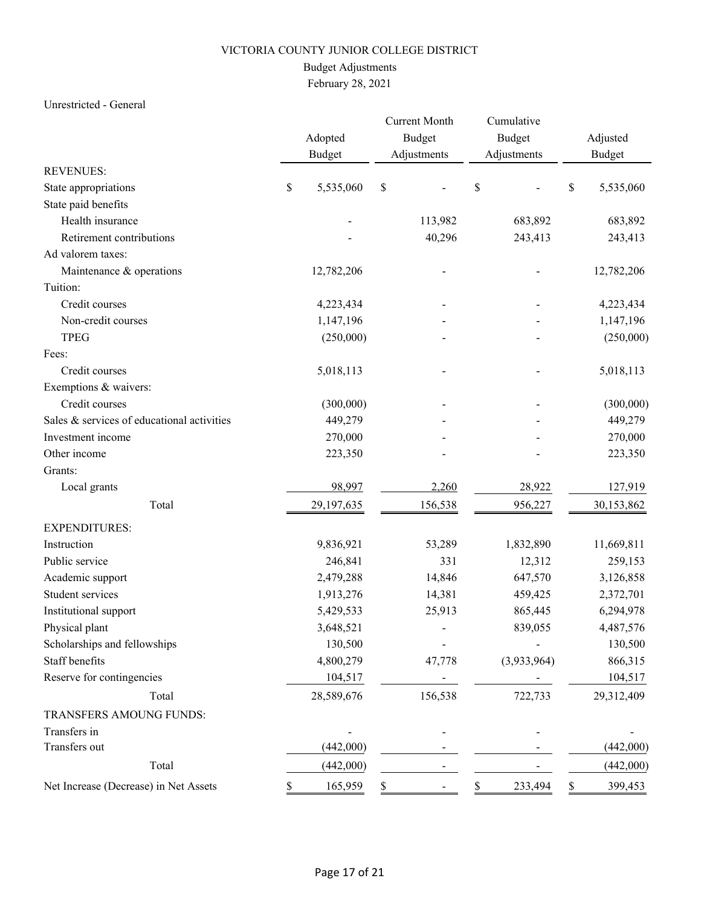## Budget Adjustments

# February 28, 2021

### Unrestricted - General

|                                            |    | Adopted<br><b>Budget</b> | <b>Current Month</b><br><b>Budget</b><br>Adjustments | Cumulative<br>Budget<br>Adjustments | Adjusted<br><b>Budget</b> |
|--------------------------------------------|----|--------------------------|------------------------------------------------------|-------------------------------------|---------------------------|
| <b>REVENUES:</b>                           |    |                          |                                                      |                                     |                           |
| State appropriations                       | \$ | 5,535,060                | \$                                                   | \$                                  | \$<br>5,535,060           |
| State paid benefits                        |    |                          |                                                      |                                     |                           |
| Health insurance                           |    |                          | 113,982                                              | 683,892                             | 683,892                   |
| Retirement contributions                   |    |                          | 40,296                                               | 243,413                             | 243,413                   |
| Ad valorem taxes:                          |    |                          |                                                      |                                     |                           |
| Maintenance & operations                   |    | 12,782,206               |                                                      |                                     | 12,782,206                |
| Tuition:                                   |    |                          |                                                      |                                     |                           |
| Credit courses                             |    | 4,223,434                |                                                      |                                     | 4,223,434                 |
| Non-credit courses                         |    | 1,147,196                |                                                      |                                     | 1,147,196                 |
| <b>TPEG</b>                                |    | (250,000)                |                                                      |                                     | (250,000)                 |
| Fees:                                      |    |                          |                                                      |                                     |                           |
| Credit courses                             |    | 5,018,113                |                                                      |                                     | 5,018,113                 |
| Exemptions & waivers:                      |    |                          |                                                      |                                     |                           |
| Credit courses                             |    | (300,000)                |                                                      |                                     | (300,000)                 |
| Sales & services of educational activities |    | 449,279                  |                                                      |                                     | 449,279                   |
| Investment income                          |    | 270,000                  |                                                      |                                     | 270,000                   |
| Other income                               |    | 223,350                  |                                                      |                                     | 223,350                   |
| Grants:                                    |    |                          |                                                      |                                     |                           |
| Local grants                               |    | 98,997                   | 2,260                                                | 28,922                              | 127,919                   |
| Total                                      |    | 29,197,635               | 156,538                                              | 956,227                             | 30,153,862                |
| <b>EXPENDITURES:</b>                       |    |                          |                                                      |                                     |                           |
| Instruction                                |    | 9,836,921                | 53,289                                               | 1,832,890                           | 11,669,811                |
| Public service                             |    | 246,841                  | 331                                                  | 12,312                              | 259,153                   |
| Academic support                           |    | 2,479,288                | 14,846                                               | 647,570                             | 3,126,858                 |
| Student services                           |    | 1,913,276                | 14,381                                               | 459,425                             | 2,372,701                 |
| Institutional support                      |    | 5,429,533                | 25,913                                               | 865,445                             | 6,294,978                 |
| Physical plant                             |    | 3,648,521                |                                                      | 839,055                             | 4,487,576                 |
| Scholarships and fellowships               |    | 130,500                  |                                                      |                                     | 130,500                   |
| Staff benefits                             |    | 4,800,279                | 47,778                                               | (3,933,964)                         | 866,315                   |
| Reserve for contingencies                  |    | 104,517                  |                                                      |                                     | 104,517                   |
| Total                                      |    | 28,589,676               | 156,538                                              | 722,733                             | 29,312,409                |
| TRANSFERS AMOUNG FUNDS:                    |    |                          |                                                      |                                     |                           |
| Transfers in                               |    |                          |                                                      |                                     |                           |
| Transfers out                              |    | (442,000)                |                                                      |                                     | (442,000)                 |
| Total                                      |    | (442,000)                |                                                      |                                     | (442,000)                 |
| Net Increase (Decrease) in Net Assets      |    | 165,959                  | \$                                                   | 233,494<br>S                        | 399,453<br>S.             |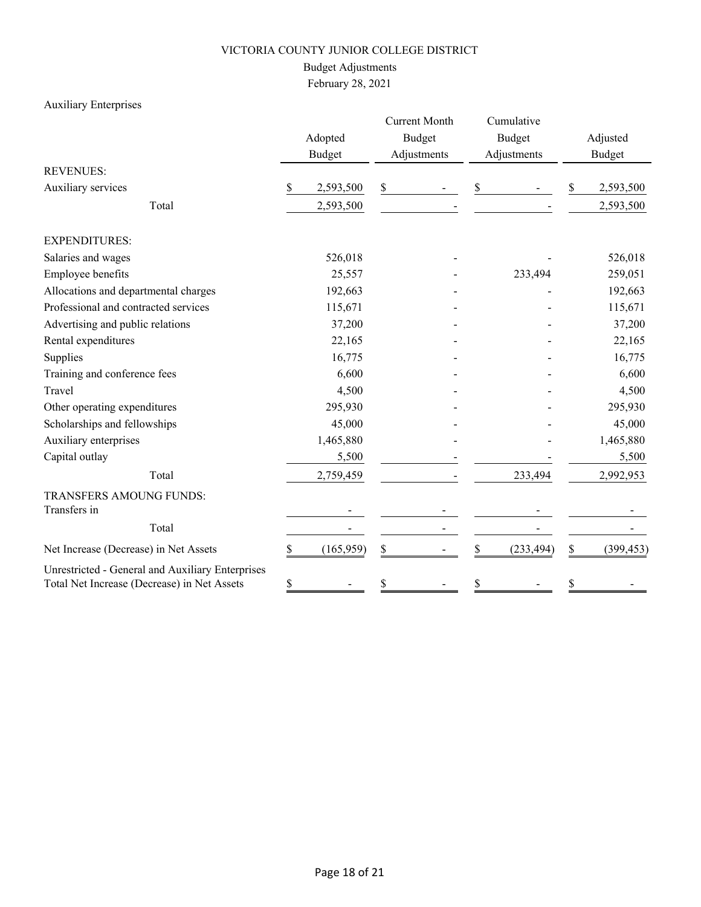## Budget Adjustments

February 28, 2021

## Auxiliary Enterprises

|                                                                                                 |    | Adopted<br><b>Budget</b> |    | <b>Current Month</b><br><b>Budget</b><br>Adjustments |    | Cumulative<br><b>Budget</b><br>Adjustments |    | Adjusted<br><b>Budget</b> |  |
|-------------------------------------------------------------------------------------------------|----|--------------------------|----|------------------------------------------------------|----|--------------------------------------------|----|---------------------------|--|
| <b>REVENUES:</b>                                                                                |    |                          |    |                                                      |    |                                            |    |                           |  |
| Auxiliary services                                                                              | \$ | 2,593,500                | \$ |                                                      | \$ |                                            | \$ | 2,593,500                 |  |
| Total                                                                                           |    | 2,593,500                |    |                                                      |    |                                            |    | 2,593,500                 |  |
| <b>EXPENDITURES:</b>                                                                            |    |                          |    |                                                      |    |                                            |    |                           |  |
| Salaries and wages                                                                              |    | 526,018                  |    |                                                      |    |                                            |    | 526,018                   |  |
| Employee benefits                                                                               |    | 25,557                   |    |                                                      |    | 233,494                                    |    | 259,051                   |  |
| Allocations and departmental charges                                                            |    | 192,663                  |    |                                                      |    |                                            |    | 192,663                   |  |
| Professional and contracted services                                                            |    | 115,671                  |    |                                                      |    |                                            |    | 115,671                   |  |
| Advertising and public relations                                                                |    | 37,200                   |    |                                                      |    |                                            |    | 37,200                    |  |
| Rental expenditures                                                                             |    | 22,165                   |    |                                                      |    |                                            |    | 22,165                    |  |
| Supplies                                                                                        |    | 16,775                   |    |                                                      |    |                                            |    | 16,775                    |  |
| Training and conference fees                                                                    |    | 6,600                    |    |                                                      |    |                                            |    | 6,600                     |  |
| Travel                                                                                          |    | 4,500                    |    |                                                      |    |                                            |    | 4,500                     |  |
| Other operating expenditures                                                                    |    | 295,930                  |    |                                                      |    |                                            |    | 295,930                   |  |
| Scholarships and fellowships                                                                    |    | 45,000                   |    |                                                      |    |                                            |    | 45,000                    |  |
| Auxiliary enterprises                                                                           |    | 1,465,880                |    |                                                      |    |                                            |    | 1,465,880                 |  |
| Capital outlay                                                                                  |    | 5,500                    |    |                                                      |    |                                            |    | 5,500                     |  |
| Total                                                                                           |    | 2,759,459                |    |                                                      |    | 233,494                                    |    | 2,992,953                 |  |
| TRANSFERS AMOUNG FUNDS:<br>Transfers in                                                         |    |                          |    |                                                      |    |                                            |    |                           |  |
| Total                                                                                           |    |                          |    |                                                      |    |                                            |    |                           |  |
| Net Increase (Decrease) in Net Assets                                                           | \$ | (165, 959)               | \$ |                                                      | \$ | (233, 494)                                 | \$ | (399, 453)                |  |
| Unrestricted - General and Auxiliary Enterprises<br>Total Net Increase (Decrease) in Net Assets | \$ |                          | \$ |                                                      | \$ |                                            | \$ |                           |  |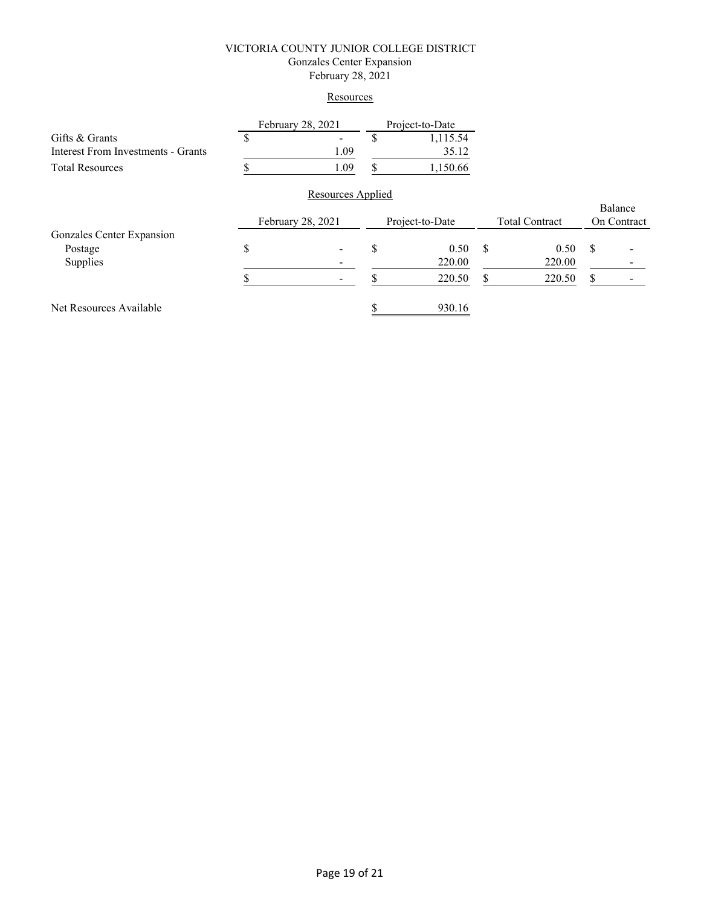#### VICTORIA COUNTY JUNIOR COLLEGE DISTRICT Gonzales Center Expansion February 28, 2021

#### **Resources**

|      | 1,115.54 |
|------|----------|
| 1.09 | 35.12    |
| 1.09 | 1,150.66 |
|      |          |

|                           |                   | ----------------         |                 |        |                       |        |             | Balance |
|---------------------------|-------------------|--------------------------|-----------------|--------|-----------------------|--------|-------------|---------|
|                           | February 28, 2021 |                          | Project-to-Date |        | <b>Total Contract</b> |        | On Contract |         |
| Gonzales Center Expansion |                   |                          |                 |        |                       |        |             |         |
| Postage                   | Φ                 | $\overline{\phantom{a}}$ | ٨D              | 0.50   | S                     | 0.50   | S           |         |
| Supplies                  |                   | $\overline{\phantom{a}}$ |                 | 220.00 |                       | 220.00 |             | $\,$    |
|                           |                   | $\blacksquare$           |                 | 220.50 |                       | 220.50 | S           |         |
| Net Resources Available   |                   |                          |                 | 930.16 |                       |        |             |         |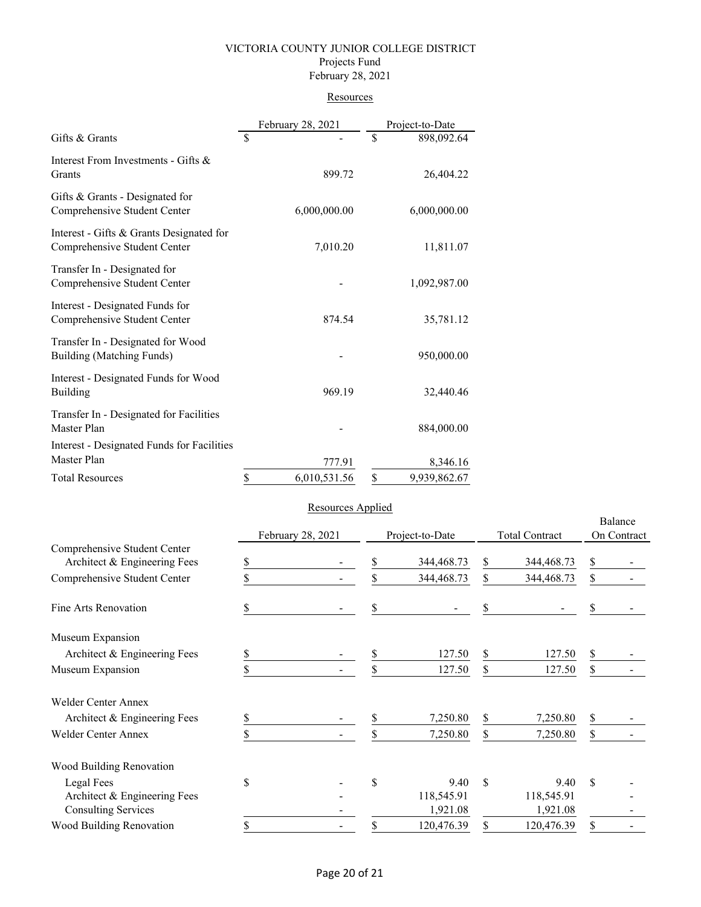#### VICTORIA COUNTY JUNIOR COLLEGE DISTRICT Projects Fund February 28, 2021

#### **Resources**

|                                                                          |    | February 28, 2021 | Project-to-Date    |
|--------------------------------------------------------------------------|----|-------------------|--------------------|
| Gifts & Grants                                                           | S  |                   | \$<br>898,092.64   |
| Interest From Investments - Gifts &<br>Grants                            |    | 899.72            | 26,404.22          |
| Gifts & Grants - Designated for<br>Comprehensive Student Center          |    | 6,000,000.00      | 6,000,000.00       |
| Interest - Gifts & Grants Designated for<br>Comprehensive Student Center |    | 7,010.20          | 11,811.07          |
| Transfer In - Designated for<br>Comprehensive Student Center             |    |                   | 1,092,987.00       |
| Interest - Designated Funds for<br>Comprehensive Student Center          |    | 874.54            | 35,781.12          |
| Transfer In - Designated for Wood<br>Building (Matching Funds)           |    |                   | 950,000.00         |
| Interest - Designated Funds for Wood<br><b>Building</b>                  |    | 969.19            | 32,440.46          |
| Transfer In - Designated for Facilities<br>Master Plan                   |    |                   | 884,000.00         |
| Interest - Designated Funds for Facilities<br>Master Plan                |    | 777.91            | 8,346.16           |
| <b>Total Resources</b>                                                   | \$ | 6,010,531.56      | \$<br>9,939,862.67 |

#### Resources Applied

|                              | February 28, 2021 |  | Project-to-Date |            | <b>Total Contract</b> |            | Balance<br>On Contract |  |
|------------------------------|-------------------|--|-----------------|------------|-----------------------|------------|------------------------|--|
| Comprehensive Student Center |                   |  |                 |            |                       |            |                        |  |
| Architect & Engineering Fees | \$                |  | \$              | 344,468.73 | \$                    | 344,468.73 | \$                     |  |
| Comprehensive Student Center |                   |  | \$              | 344,468.73 | \$                    | 344,468.73 | \$                     |  |
| Fine Arts Renovation         |                   |  | \$              |            | \$                    |            | \$                     |  |
| Museum Expansion             |                   |  |                 |            |                       |            |                        |  |
| Architect & Engineering Fees | \$                |  | \$              | 127.50     | \$                    | 127.50     | \$                     |  |
| Museum Expansion             |                   |  | \$              | 127.50     | \$                    | 127.50     | \$                     |  |
| <b>Welder Center Annex</b>   |                   |  |                 |            |                       |            |                        |  |
| Architect & Engineering Fees |                   |  | \$              | 7,250.80   | \$                    | 7,250.80   | \$                     |  |
| <b>Welder Center Annex</b>   |                   |  | \$              | 7,250.80   | \$                    | 7,250.80   | \$                     |  |
| Wood Building Renovation     |                   |  |                 |            |                       |            |                        |  |
| Legal Fees                   | \$                |  | \$              | 9.40       | $\mathcal{S}$         | 9.40       | $\mathbf S$            |  |
| Architect & Engineering Fees |                   |  |                 | 118,545.91 |                       | 118,545.91 |                        |  |
| <b>Consulting Services</b>   |                   |  |                 | 1,921.08   |                       | 1,921.08   |                        |  |
| Wood Building Renovation     | S                 |  | \$              | 120,476.39 |                       | 120,476.39 | \$                     |  |